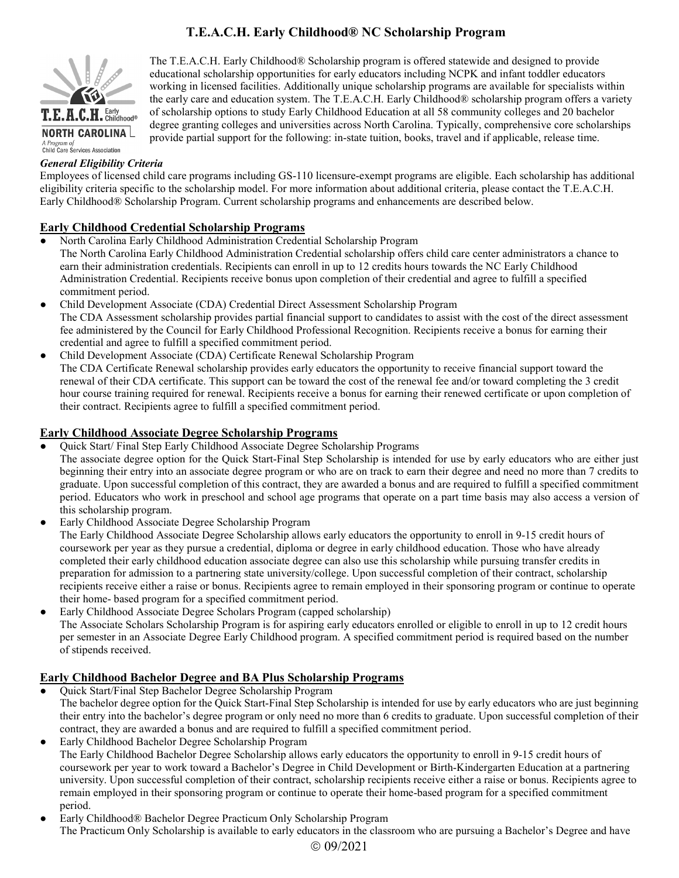# **T.E.A.C.H. Early Childhood® NC Scholarship Program**



The T.E.A.C.H. Early Childhood® Scholarship program is offered statewide and designed to provide educational scholarship opportunities for early educators including NCPK and infant toddler educators working in licensed facilities. Additionally unique scholarship programs are available for specialists within the early care and education system. The T.E.A.C.H. Early Childhood® scholarship program offers a variety of scholarship options to study Early Childhood Education at all 58 community colleges and 20 bachelor degree granting colleges and universities across North Carolina. Typically, comprehensive core scholarships provide partial support for the following: in-state tuition, books, travel and if applicable, release time.

# *General Eligibility Criteria*

Employees of licensed child care programs including GS-110 licensure-exempt programs are eligible. Each scholarship has additional eligibility criteria specific to the scholarship model. For more information about additional criteria, please contact the T.E.A.C.H. Early Childhood® Scholarship Program. Current scholarship programs and enhancements are described below.

# **Early Childhood Credential Scholarship Programs**

- North Carolina Early Childhood Administration Credential Scholarship Program
- The North Carolina Early Childhood Administration Credential scholarship offers child care center administrators a chance to earn their administration credentials. Recipients can enroll in up to 12 credits hours towards the NC Early Childhood Administration Credential. Recipients receive bonus upon completion of their credential and agree to fulfill a specified commitment period.
- Child Development Associate (CDA) Credential Direct Assessment Scholarship Program The CDA Assessment scholarship provides partial financial support to candidates to assist with the cost of the direct assessment fee administered by the Council for Early Childhood Professional Recognition. Recipients receive a bonus for earning their credential and agree to fulfill a specified commitment period.
- Child Development Associate (CDA) Certificate Renewal Scholarship Program The CDA Certificate Renewal scholarship provides early educators the opportunity to receive financial support toward the renewal of their CDA certificate. This support can be toward the cost of the renewal fee and/or toward completing the 3 credit hour course training required for renewal. Recipients receive a bonus for earning their renewed certificate or upon completion of their contract. Recipients agree to fulfill a specified commitment period.

## **Early Childhood Associate Degree Scholarship Programs**

Quick Start/ Final Step Early Childhood Associate Degree Scholarship Programs

The associate degree option for the Quick Start-Final Step Scholarship is intended for use by early educators who are either just beginning their entry into an associate degree program or who are on track to earn their degree and need no more than 7 credits to graduate. Upon successful completion of this contract, they are awarded a bonus and are required to fulfill a specified commitment period. Educators who work in preschool and school age programs that operate on a part time basis may also access a version of this scholarship program.

- Early Childhood Associate Degree Scholarship Program The Early Childhood Associate Degree Scholarship allows early educators the opportunity to enroll in 9-15 credit hours of coursework per year as they pursue a credential, diploma or degree in early childhood education. Those who have already completed their early childhood education associate degree can also use this scholarship while pursuing transfer credits in preparation for admission to a partnering state university/college. Upon successful completion of their contract, scholarship recipients receive either a raise or bonus. Recipients agree to remain employed in their sponsoring program or continue to operate their home- based program for a specified commitment period.
- Early Childhood Associate Degree Scholars Program (capped scholarship) The Associate Scholars Scholarship Program is for aspiring early educators enrolled or eligible to enroll in up to 12 credit hours per semester in an Associate Degree Early Childhood program. A specified commitment period is required based on the number of stipends received.

# **Early Childhood Bachelor Degree and BA Plus Scholarship Programs**

- Quick Start/Final Step Bachelor Degree Scholarship Program The bachelor degree option for the Quick Start-Final Step Scholarship is intended for use by early educators who are just beginning their entry into the bachelor's degree program or only need no more than 6 credits to graduate. Upon successful completion of their contract, they are awarded a bonus and are required to fulfill a specified commitment period.
- Early Childhood Bachelor Degree Scholarship Program The Early Childhood Bachelor Degree Scholarship allows early educators the opportunity to enroll in 9-15 credit hours of coursework per year to work toward a Bachelor's Degree in Child Development or Birth-Kindergarten Education at a partnering university. Upon successful completion of their contract, scholarship recipients receive either a raise or bonus. Recipients agree to remain employed in their sponsoring program or continue to operate their home-based program for a specified commitment period.
- Early Childhood® Bachelor Degree Practicum Only Scholarship Program The Practicum Only Scholarship is available to early educators in the classroom who are pursuing a Bachelor's Degree and have